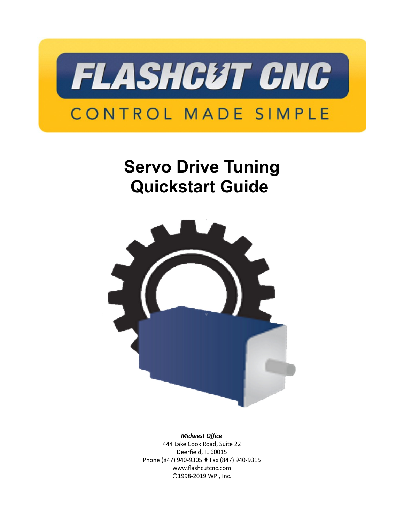

# **Servo Drive Tuning Quickstart Guide**



#### *Midwest Office*

444 Lake Cook Road, Suite 22 Deerfield, IL 60015 Phone (847) 940-9305 ♦ Fax (847) 940-9315 www.flashcutcnc.com ©1998-2019 WPI, Inc.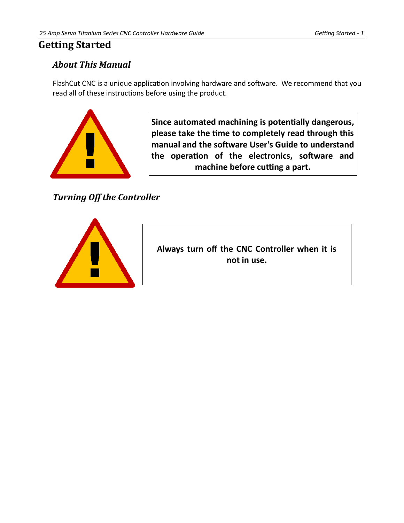# <span id="page-2-2"></span>**Getting Started**

# <span id="page-2-1"></span>*About This Manual*

FlashCut CNC is a unique application involving hardware and software. We recommend that you read all of these instructions before using the product.



**Since automated machining is potentially dangerous, please take the time to completely read through this manual and the software User's Guide to understand the operation of the electronics, software and machine before cutting a part.**

<span id="page-2-0"></span>*Turning Off the Controller*



**Always turn off the CNC Controller when it is not in use.**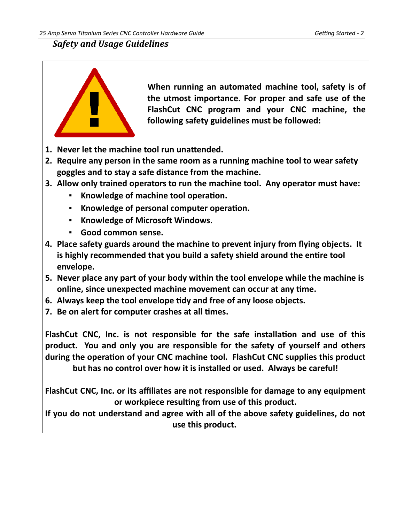### <span id="page-3-0"></span>*Safety and Usage Guidelines*



**When running an automated machine tool, safety is of the utmost importance. For proper and safe use of the FlashCut CNC program and your CNC machine, the following safety guidelines must be followed:** 

- **1. Never let the machine tool run unattended.**
- **2. Require any person in the same room as a running machine tool to wear safety goggles and to stay a safe distance from the machine.**
- **3. Allow only trained operators to run the machine tool. Any operator must have:**
	- **Knowledge of machine tool operation.**
	- **Knowledge of personal computer operation.**
	- **Knowledge of Microsoft Windows.**
	- **Good common sense.**
- **4. Place safety guards around the machine to prevent injury from flying objects. It is highly recommended that you build a safety shield around the entire tool envelope.**
- **5. Never place any part of your body within the tool envelope while the machine is online, since unexpected machine movement can occur at any time.**
- **6. Always keep the tool envelope tidy and free of any loose objects.**
- **7. Be on alert for computer crashes at all times.**

**FlashCut CNC, Inc. is not responsible for the safe installation and use of this product. You and only you are responsible for the safety of yourself and others during the operation of your CNC machine tool. FlashCut CNC supplies this product but has no control over how it is installed or used. Always be careful!**

**FlashCut CNC, Inc. or its affiliates are not responsible for damage to any equipment or workpiece resulting from use of this product.**

**If you do not understand and agree with all of the above safety guidelines, do not use this product.**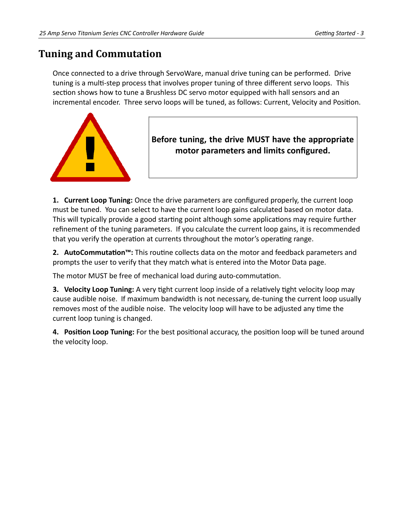# <span id="page-4-0"></span>**Tuning and Commutation**

Once connected to a drive through ServoWare, manual drive tuning can be performed. Drive tuning is a multi-step process that involves proper tuning of three different servo loops. This section shows how to tune a Brushless DC servo motor equipped with hall sensors and an incremental encoder. Three servo loops will be tuned, as follows: Current, Velocity and Position.



# **Before tuning, the drive MUST have the appropriate motor parameters and limits configured.**

**1. Current Loop Tuning:** Once the drive parameters are configured properly, the current loop must be tuned. You can select to have the current loop gains calculated based on motor data. This will typically provide a good starting point although some applications may require further refinement of the tuning parameters. If you calculate the current loop gains, it is recommended that you verify the operation at currents throughout the motor's operating range.

**2. AutoCommutation™:** This routine collects data on the motor and feedback parameters and prompts the user to verify that they match what is entered into the Motor Data page.

The motor MUST be free of mechanical load during auto-commutation.

**3. Velocity Loop Tuning:** A very tight current loop inside of a relatively tight velocity loop may cause audible noise. If maximum bandwidth is not necessary, de-tuning the current loop usually removes most of the audible noise. The velocity loop will have to be adjusted any time the current loop tuning is changed.

**4. Position Loop Tuning:** For the best positional accuracy, the position loop will be tuned around the velocity loop.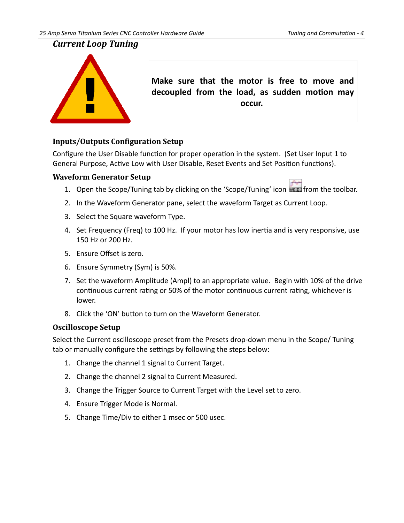### <span id="page-5-3"></span>*Current Loop Tuning*



**Make sure that the motor is free to move and decoupled from the load, as sudden motion may occur.** 

#### <span id="page-5-2"></span>**Inputs/Outputs Configuration Setup**

Configure the User Disable function for proper operation in the system. (Set User Input 1 to General Purpose, Active Low with User Disable, Reset Events and Set Position functions).

#### <span id="page-5-1"></span>**Waveform Generator Setup**



- 1. Open the Scope/Tuning tab by clicking on the 'Scope/Tuning' icon **Fig. 1** from the toolbar.
- 2. In the Waveform Generator pane, select the waveform Target as Current Loop.
- 3. Select the Square waveform Type.
- 4. Set Frequency (Freq) to 100 Hz. If your motor has low inertia and is very responsive, use 150 Hz or 200 Hz.
- 5. Ensure Offset is zero.
- 6. Ensure Symmetry (Sym) is 50%.
- 7. Set the waveform Amplitude (Ampl) to an appropriate value. Begin with 10% of the drive continuous current rating or 50% of the motor continuous current rating, whichever is lower.
- 8. Click the 'ON' button to turn on the Waveform Generator.

#### <span id="page-5-0"></span>**Oscilloscope Setup**

Select the Current oscilloscope preset from the Presets drop-down menu in the Scope/ Tuning tab or manually configure the settings by following the steps below:

- 1. Change the channel 1 signal to Current Target.
- 2. Change the channel 2 signal to Current Measured.
- 3. Change the Trigger Source to Current Target with the Level set to zero.
- 4. Ensure Trigger Mode is Normal.
- 5. Change Time/Div to either 1 msec or 500 usec.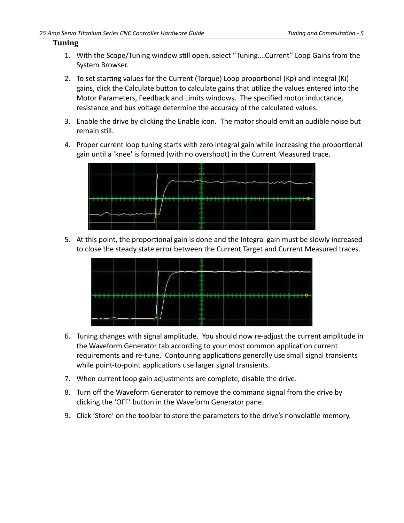#### <span id="page-6-0"></span>**Tuning**

- 1. With the Scope/Tuning window still open, select "Tuning….Current" Loop Gains from the System Browser.
- 2. To set starting values for the Current (Torque) Loop proportional (Kp) and integral (Ki) gains, click the Calculate button to calculate gains that utilize the values entered into the Motor Parameters, Feedback and Limits windows. The specified motor inductance, resistance and bus voltage determine the accuracy of the calculated values.
- 3. Enable the drive by clicking the Enable icon. The motor should emit an audible noise but remain still.
- 4. Proper current loop tuning starts with zero integral gain while increasing the proportional gain until a 'knee' is formed (with no overshoot) in the Current Measured trace.



5. At this point, the proportional gain is done and the Integral gain must be slowly increased to close the steady state error between the Current Target and Current Measured traces.



- 6. Tuning changes with signal amplitude. You should now re-adjust the current amplitude in the Waveform Generator tab according to your most common application current requirements and re-tune. Contouring applications generally use small signal transients while point-to-point applications use larger signal transients.
- 7. When current loop gain adjustments are complete, disable the drive.
- 8. Turn off the Waveform Generator to remove the command signal from the drive by clicking the 'OFF' button in the Waveform Generator pane.
- 9. Click 'Store' on the toolbar to store the parameters to the drive's nonvolatile memory.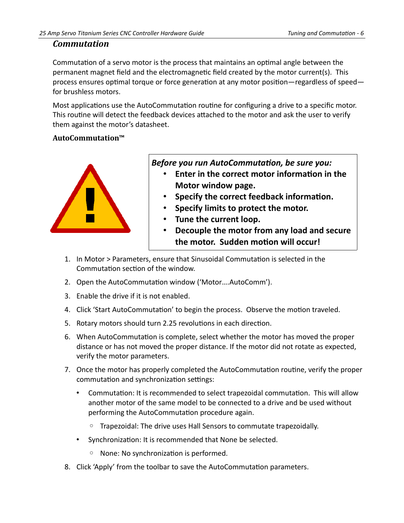#### <span id="page-7-1"></span>*Commutation*

Commutation of a servo motor is the process that maintains an optimal angle between the permanent magnet field and the electromagnetic field created by the motor current(s). This process ensures optimal torque or force generation at any motor position—regardless of speed for brushless motors.

Most applications use the AutoCommutation routine for configuring a drive to a specific motor. This routine will detect the feedback devices attached to the motor and ask the user to verify them against the motor's datasheet.

#### <span id="page-7-0"></span>**AutoCommutation™**



*Before you run AutoCommutation, be sure you:*

- **Enter in the correct motor information in the Motor window page.**
- **Specify the correct feedback information.**
- **Specify limits to protect the motor.**
- **Tune the current loop.**
- **Decouple the motor from any load and secure the motor. Sudden motion will occur!**
- 1. In Motor > Parameters, ensure that Sinusoidal Commutation is selected in the Commutation section of the window.
- 2. Open the AutoCommutation window ('Motor….AutoComm').
- 3. Enable the drive if it is not enabled.
- 4. Click 'Start AutoCommutation' to begin the process. Observe the motion traveled.
- 5. Rotary motors should turn 2.25 revolutions in each direction.
- 6. When AutoCommutation is complete, select whether the motor has moved the proper distance or has not moved the proper distance. If the motor did not rotate as expected, verify the motor parameters.
- 7. Once the motor has properly completed the AutoCommutation routine, verify the proper commutation and synchronization settings:
	- Commutation: It is recommended to select trapezoidal commutation. This will allow another motor of the same model to be connected to a drive and be used without performing the AutoCommutation procedure again.
		- Trapezoidal: The drive uses Hall Sensors to commutate trapezoidally.
	- Synchronization: It is recommended that None be selected.
		- None: No synchronization is performed.
- 8. Click 'Apply' from the toolbar to save the AutoCommutation parameters.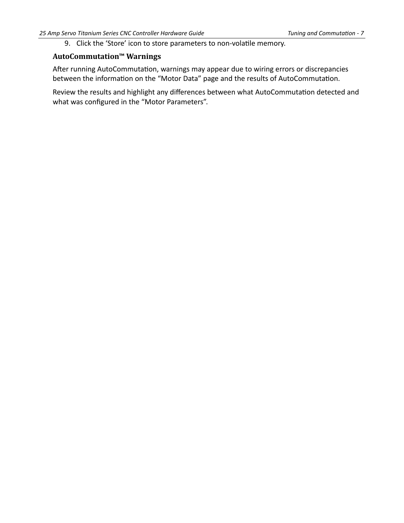9. Click the 'Store' icon to store parameters to non-volatile memory.

#### <span id="page-8-0"></span>**AutoCommutation™ Warnings**

After running AutoCommutation, warnings may appear due to wiring errors or discrepancies between the information on the "Motor Data" page and the results of AutoCommutation.

Review the results and highlight any differences between what AutoCommutation detected and what was configured in the "Motor Parameters".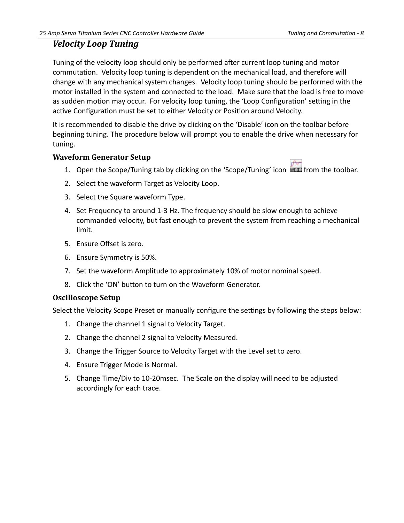## <span id="page-9-2"></span>*Velocity Loop Tuning*

Tuning of the velocity loop should only be performed after current loop tuning and motor commutation. Velocity loop tuning is dependent on the mechanical load, and therefore will change with any mechanical system changes. Velocity loop tuning should be performed with the motor installed in the system and connected to the load. Make sure that the load is free to move as sudden motion may occur. For velocity loop tuning, the 'Loop Configuration' setting in the active Configuration must be set to either Velocity or Position around Velocity.

It is recommended to disable the drive by clicking on the 'Disable' icon on the toolbar before beginning tuning. The procedure below will prompt you to enable the drive when necessary for tuning.

#### <span id="page-9-1"></span>**Waveform Generator Setup**

- 1. Open the Scope/Tuning tab by clicking on the 'Scope/Tuning' icon **Fould from the toolbar.**
- 2. Select the waveform Target as Velocity Loop.
- 3. Select the Square waveform Type.
- 4. Set Frequency to around 1-3 Hz. The frequency should be slow enough to achieve commanded velocity, but fast enough to prevent the system from reaching a mechanical limit.
- 5. Ensure Offset is zero.
- 6. Ensure Symmetry is 50%.
- 7. Set the waveform Amplitude to approximately 10% of motor nominal speed.
- 8. Click the 'ON' button to turn on the Waveform Generator.

#### <span id="page-9-0"></span>**Oscilloscope Setup**

Select the Velocity Scope Preset or manually configure the settings by following the steps below:

- 1. Change the channel 1 signal to Velocity Target.
- 2. Change the channel 2 signal to Velocity Measured.
- 3. Change the Trigger Source to Velocity Target with the Level set to zero.
- 4. Ensure Trigger Mode is Normal.
- 5. Change Time/Div to 10-20msec. The Scale on the display will need to be adjusted accordingly for each trace.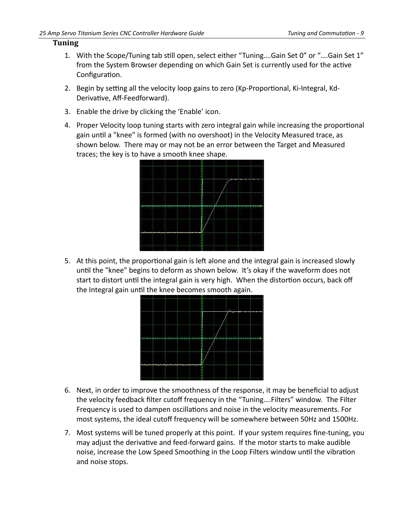#### <span id="page-10-0"></span>**Tuning**

- 1. With the Scope/Tuning tab still open, select either "Tuning….Gain Set 0" or "….Gain Set 1" from the System Browser depending on which Gain Set is currently used for the active Configuration.
- 2. Begin by setting all the velocity loop gains to zero (Kp-Proportional, Ki-Integral, Kd-Derivative, Aff-Feedforward).
- 3. Enable the drive by clicking the 'Enable' icon.
- 4. Proper Velocity loop tuning starts with zero integral gain while increasing the proportional gain until a "knee" is formed (with no overshoot) in the Velocity Measured trace, as shown below. There may or may not be an error between the Target and Measured traces; the key is to have a smooth knee shape.



5. At this point, the proportional gain is left alone and the integral gain is increased slowly until the "knee" begins to deform as shown below. It's okay if the waveform does not start to distort until the integral gain is very high. When the distortion occurs, back off the Integral gain until the knee becomes smooth again.



- 6. Next, in order to improve the smoothness of the response, it may be beneficial to adjust the velocity feedback filter cutoff frequency in the "Tuning….Filters" window. The Filter Frequency is used to dampen oscillations and noise in the velocity measurements. For most systems, the ideal cutoff frequency will be somewhere between 50Hz and 1500Hz.
- 7. Most systems will be tuned properly at this point. If your system requires fine-tuning, you may adjust the derivative and feed-forward gains. If the motor starts to make audible noise, increase the Low Speed Smoothing in the Loop Filters window until the vibration and noise stops.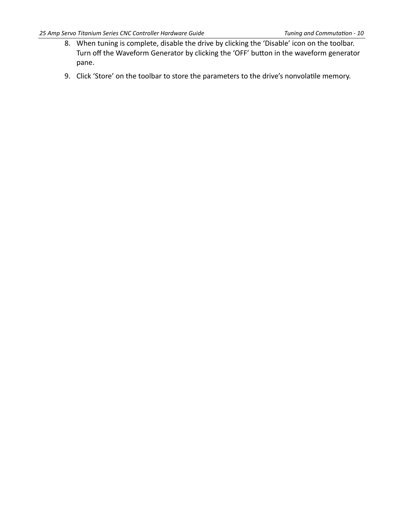- 8. When tuning is complete, disable the drive by clicking the 'Disable' icon on the toolbar. Turn off the Waveform Generator by clicking the 'OFF' button in the waveform generator pane.
- 9. Click 'Store' on the toolbar to store the parameters to the drive's nonvolatile memory.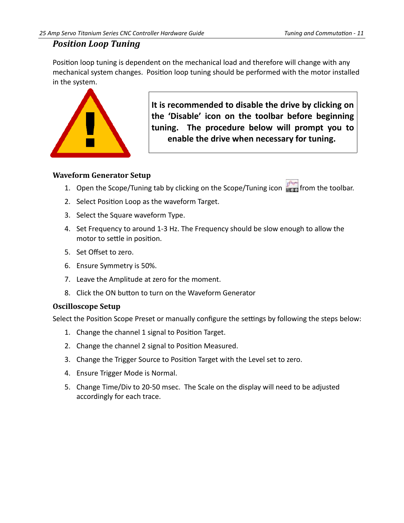#### <span id="page-12-2"></span>*Position Loop Tuning*

Position loop tuning is dependent on the mechanical load and therefore will change with any mechanical system changes. Position loop tuning should be performed with the motor installed in the system.



**It is recommended to disable the drive by clicking on the 'Disable' icon on the toolbar before beginning tuning. The procedure below will prompt you to enable the drive when necessary for tuning.** 

#### <span id="page-12-1"></span>**Waveform Generator Setup**

- 1. Open the Scope/Tuning tab by clicking on the Scope/Tuning icon **Frank** from the toolbar.
- 2. Select Position Loop as the waveform Target.
- 3. Select the Square waveform Type.
- 4. Set Frequency to around 1-3 Hz. The Frequency should be slow enough to allow the motor to settle in position.
- 5. Set Offset to zero.
- 6. Ensure Symmetry is 50%.
- 7. Leave the Amplitude at zero for the moment.
- 8. Click the ON button to turn on the Waveform Generator

#### <span id="page-12-0"></span>**Oscilloscope Setup**

Select the Position Scope Preset or manually configure the settings by following the steps below:

- 1. Change the channel 1 signal to Position Target.
- 2. Change the channel 2 signal to Position Measured.
- 3. Change the Trigger Source to Position Target with the Level set to zero.
- 4. Ensure Trigger Mode is Normal.
- 5. Change Time/Div to 20-50 msec. The Scale on the display will need to be adjusted accordingly for each trace.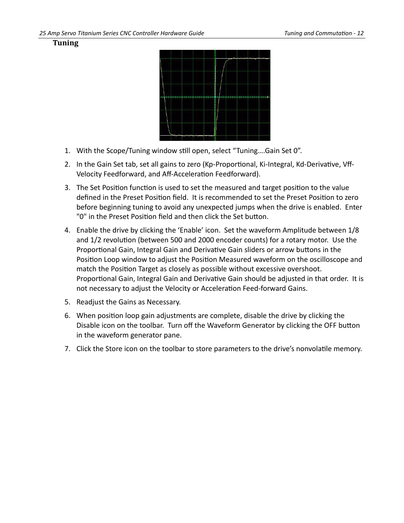<span id="page-13-0"></span>



- 1. With the Scope/Tuning window still open, select "Tuning….Gain Set 0".
- 2. In the Gain Set tab, set all gains to zero (Kp-Proportional, Ki-Integral, Kd-Derivative, Vff-Velocity Feedforward, and Aff-Acceleration Feedforward).
- 3. The Set Position function is used to set the measured and target position to the value defined in the Preset Position field. It is recommended to set the Preset Position to zero before beginning tuning to avoid any unexpected jumps when the drive is enabled. Enter "0" in the Preset Position field and then click the Set button.
- 4. Enable the drive by clicking the 'Enable' icon. Set the waveform Amplitude between 1/8 and 1/2 revolution (between 500 and 2000 encoder counts) for a rotary motor. Use the Proportional Gain, Integral Gain and Derivative Gain sliders or arrow buttons in the Position Loop window to adjust the Position Measured waveform on the oscilloscope and match the Position Target as closely as possible without excessive overshoot. Proportional Gain, Integral Gain and Derivative Gain should be adjusted in that order. It is not necessary to adjust the Velocity or Acceleration Feed-forward Gains.
- 5. Readjust the Gains as Necessary.
- 6. When position loop gain adjustments are complete, disable the drive by clicking the Disable icon on the toolbar. Turn off the Waveform Generator by clicking the OFF button in the waveform generator pane.
- 7. Click the Store icon on the toolbar to store parameters to the drive's nonvolatile memory.